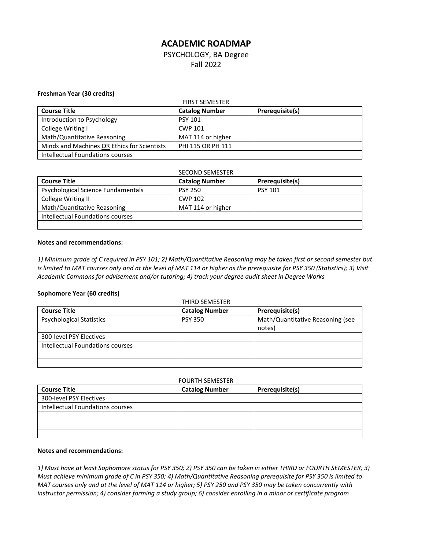# **ACADEMIC ROADMAP**

PSYCHOLOGY, BA Degree Fall 2022

# **Freshman Year (30 credits)**

| <b>FIRST SEMESTER</b>                       |                       |                 |
|---------------------------------------------|-----------------------|-----------------|
| <b>Course Title</b>                         | <b>Catalog Number</b> | Prerequisite(s) |
| Introduction to Psychology                  | <b>PSY 101</b>        |                 |
| College Writing I                           | <b>CWP 101</b>        |                 |
| Math/Quantitative Reasoning                 | MAT 114 or higher     |                 |
| Minds and Machines OR Ethics for Scientists | PHI 115 OR PH 111     |                 |
| Intellectual Foundations courses            |                       |                 |

| <b>SECOND SEMESTER</b>             |                       |                 |
|------------------------------------|-----------------------|-----------------|
| <b>Course Title</b>                | <b>Catalog Number</b> | Prerequisite(s) |
| Psychological Science Fundamentals | <b>PSY 250</b>        | <b>PSY 101</b>  |
| College Writing II                 | CWP 102               |                 |
| Math/Quantitative Reasoning        | MAT 114 or higher     |                 |
| Intellectual Foundations courses   |                       |                 |
|                                    |                       |                 |

# **Notes and recommendations:**

*1) Minimum grade of C required in PSY 101; 2) Math/Quantitative Reasoning may be taken first or second semester but is limited to MAT courses only and at the level of MAT 114 or higher as the prerequisite for PSY 350 (Statistics); 3) Visit Academic Commons for advisement and/or tutoring; 4) track your degree audit sheet in Degree Works*

# **Sophomore Year (60 credits)**

| <b>THIRD SEMESTER</b>            |                       |                                  |
|----------------------------------|-----------------------|----------------------------------|
| <b>Course Title</b>              | <b>Catalog Number</b> | Prerequisite(s)                  |
| <b>Psychological Statistics</b>  | <b>PSY 350</b>        | Math/Quantitative Reasoning (see |
|                                  |                       | notes)                           |
| 300-level PSY Electives          |                       |                                  |
| Intellectual Foundations courses |                       |                                  |
|                                  |                       |                                  |
|                                  |                       |                                  |

#### FOURTH SEMESTER

| <b>Course Title</b>              | <b>Catalog Number</b> | Prerequisite(s) |
|----------------------------------|-----------------------|-----------------|
| 300-level PSY Electives          |                       |                 |
| Intellectual Foundations courses |                       |                 |
|                                  |                       |                 |
|                                  |                       |                 |
|                                  |                       |                 |

#### **Notes and recommendations:**

*1) Must have at least Sophomore status for PSY 350; 2) PSY 350 can be taken in either THIRD or FOURTH SEMESTER; 3) Must achieve minimum grade of C in PSY 350; 4) Math/Quantitative Reasoning prerequisite for PSY 350 is limited to MAT courses only and at the level of MAT 114 or higher; 5) PSY 250 and PSY 350 may be taken concurrently with instructor permission; 4) consider forming a study group; 6) consider enrolling in a minor or certificate program*